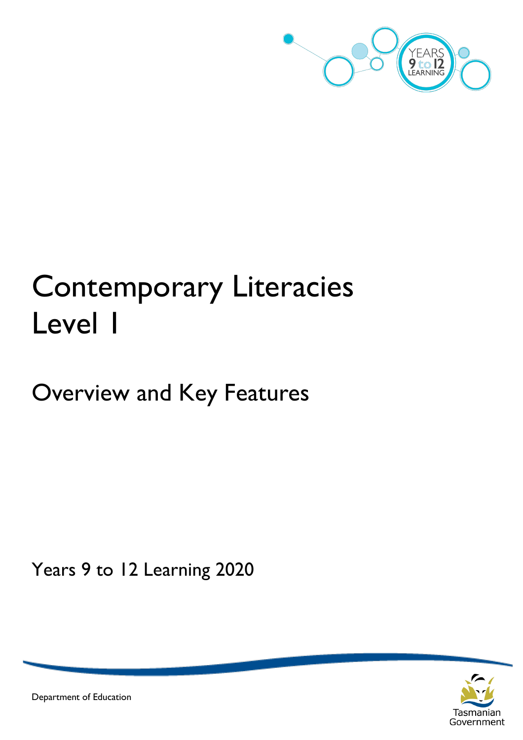

# Contemporary Literacies Level 1

## Overview and Key Features

Years 9 to 12 Learning 2020



Department of Education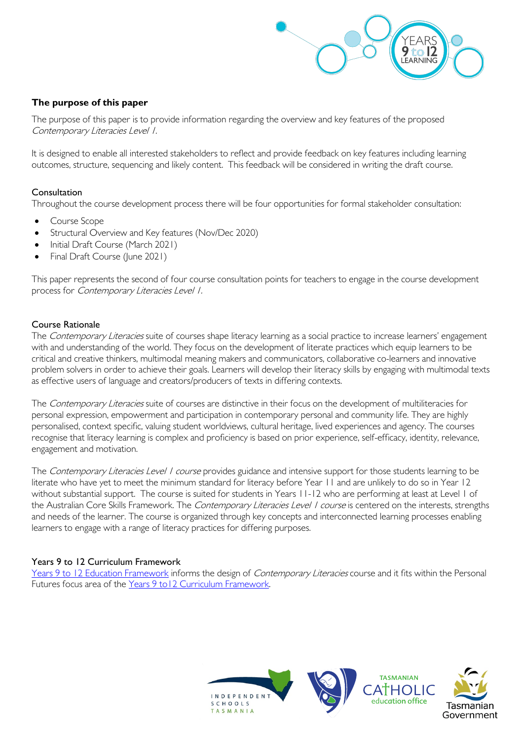

#### **The purpose of this paper**

The purpose of this paper is to provide information regarding the overview and key features of the proposed Contemporary Literacies Level 1.

It is designed to enable all interested stakeholders to reflect and provide feedback on key features including learning outcomes, structure, sequencing and likely content. This feedback will be considered in writing the draft course.

#### Consultation

Throughout the course development process there will be four opportunities for formal stakeholder consultation:

- Course Scope
- Structural Overview and Key features (Nov/Dec 2020)
- Initial Draft Course (March 2021)
- Final Draft Course (June 2021)

This paper represents the second of four course consultation points for teachers to engage in the course development process for Contemporary Literacies Level 1.

#### Course Rationale

The Contemporary Literacies suite of courses shape literacy learning as a social practice to increase learners' engagement with and understanding of the world. They focus on the development of literate practices which equip learners to be critical and creative thinkers, multimodal meaning makers and communicators, collaborative co-learners and innovative problem solvers in order to achieve their goals. Learners will develop their literacy skills by engaging with multimodal texts as effective users of language and creators/producers of texts in differing contexts.

The Contemporary Literacies suite of courses are distinctive in their focus on the development of multiliteracies for personal expression, empowerment and participation in contemporary personal and community life. They are highly personalised, context specific, valuing student worldviews, cultural heritage, lived experiences and agency. The courses recognise that literacy learning is complex and proficiency is based on prior experience, self-efficacy, identity, relevance, engagement and motivation.

The Contemporary Literacies Level 1 course provides guidance and intensive support for those students learning to be literate who have yet to meet the minimum standard for literacy before Year 11 and are unlikely to do so in Year 12 without substantial support. The course is suited for students in Years 11-12 who are performing at least at Level 1 of the Australian Core Skills Framework. The Contemporary Literacies Level 1 course is centered on the interests, strengths and needs of the learner. The course is organized through key concepts and interconnected learning processes enabling learners to engage with a range of literacy practices for differing purposes.

#### Years 9 to 12 Curriculum Framework

[Years 9 to 12 Education Framework](https://publicdocumentcentre.education.tas.gov.au/library/Shared%20Documents/Years-9-to-12-Education-Framework.pdf) informs the design of Contemporary Literacies course and it fits within the Personal Futures focus area of the Years 9 to12 Curriculum Framework.

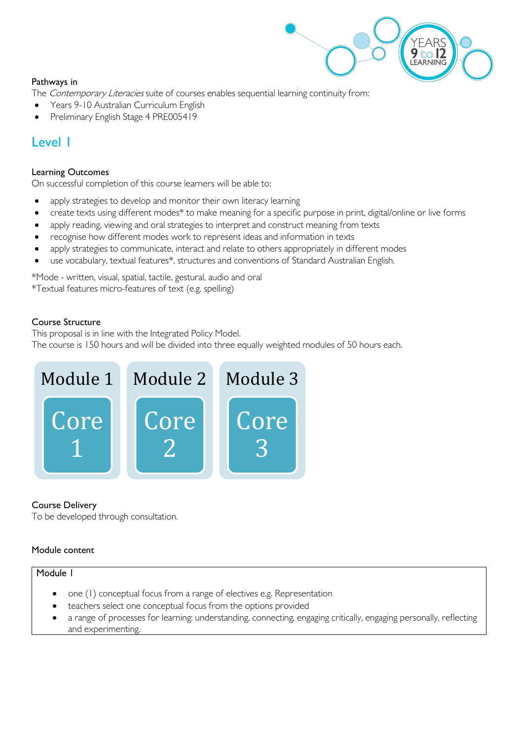

#### Pathways in

The *Contemporary Literacies* suite of courses enables sequential learning continuity from:

- Years 9-10 Australian Curriculum English
- Preliminary English Stage 4 PRE005419

### Level 1

#### Learning Outcomes

On successful completion of this course learners will be able to:

- apply strategies to develop and monitor their own literacy learning
- create texts using different modes\* to make meaning for a specific purpose in print, digital/online or live forms
- apply reading, viewing and oral strategies to interpret and construct meaning from texts
- recognise how different modes work to represent ideas and information in texts
- apply strategies to communicate, interact and relate to others appropriately in different modes
- use vocabulary, textual features\*, structures and conventions of Standard Australian English.

\*Mode - written, visual, spatial, tactile, gestural, audio and oral \*Textual features micro-features of text (e.g. spelling)

#### Course Structure

This proposal is in line with the Integrated Policy Model.

The course is 150 hours and will be divided into three equally weighted modules of 50 hours each.



#### Course Delivery

To be developed through consultation.

#### Module content

#### Module 1

- one (1) conceptual focus from a range of electives e.g. Representation
- teachers select one conceptual focus from the options provided
- a range of processes for learning: understanding, connecting, engaging critically, engaging personally, reflecting and experimenting.